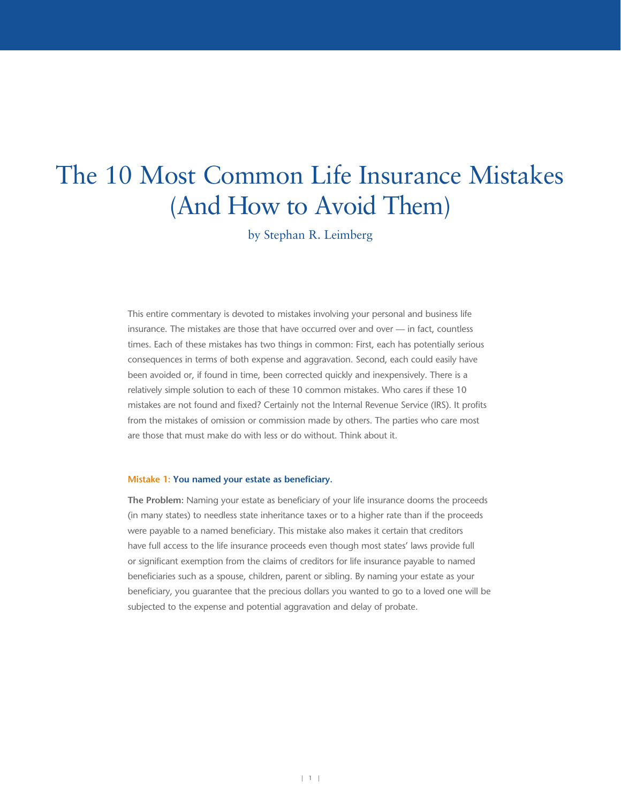# The 10 Most Common Life Insurance Mistakes (And How to Avoid Them)

by Stephan R. Leimberg

This entire commentary is devoted to mistakes involving your personal and business life insurance. The mistakes are those that have occurred over and over — in fact, countless times. Each of these mistakes has two things in common: First, each has potentially serious consequences in terms of both expense and aggravation. Second, each could easily have been avoided or, if found in time, been corrected quickly and inexpensively. There is a relatively simple solution to each of these 10 common mistakes. Who cares if these 10 mistakes are not found and fixed? Certainly not the Internal Revenue Service (IRS). It profits from the mistakes of omission or commission made by others. The parties who care most are those that must make do with less or do without. Think about it.

## **Mistake 1: You named your estate as beneficiary.**

**The Problem:** Naming your estate as beneficiary of your life insurance dooms the proceeds (in many states) to needless state inheritance taxes or to a higher rate than if the proceeds were payable to a named beneficiary. This mistake also makes it certain that creditors have full access to the life insurance proceeds even though most states' laws provide full or significant exemption from the claims of creditors for life insurance payable to named beneficiaries such as a spouse, children, parent or sibling. By naming your estate as your beneficiary, you guarantee that the precious dollars you wanted to go to a loved one will be subjected to the expense and potential aggravation and delay of probate.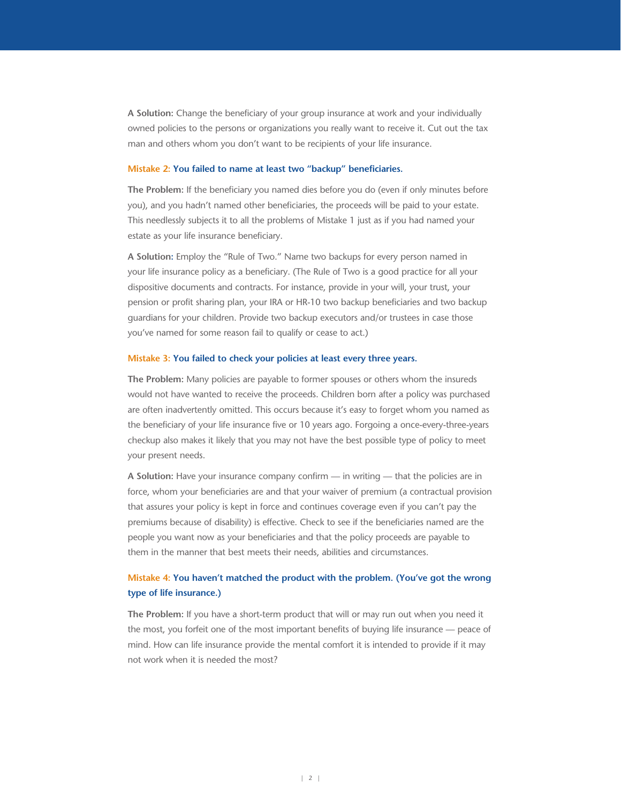**A Solution:** Change the beneficiary of your group insurance at work and your individually owned policies to the persons or organizations you really want to receive it. Cut out the tax man and others whom you don't want to be recipients of your life insurance.

## **Mistake 2: You failed to name at least two "backup" beneficiaries.**

**The Problem:** If the beneficiary you named dies before you do (even if only minutes before you), and you hadn't named other beneficiaries, the proceeds will be paid to your estate. This needlessly subjects it to all the problems of Mistake 1 just as if you had named your estate as your life insurance beneficiary.

**A Solution:** Employ the "Rule of Two." Name two backups for every person named in your life insurance policy as a beneficiary. (The Rule of Two is a good practice for all your dispositive documents and contracts. For instance, provide in your will, your trust, your pension or profit sharing plan, your IRA or HR-10 two backup beneficiaries and two backup guardians for your children. Provide two backup executors and/or trustees in case those you've named for some reason fail to qualify or cease to act.)

## **Mistake 3: You failed to check your policies at least every three years.**

**The Problem:** Many policies are payable to former spouses or others whom the insureds would not have wanted to receive the proceeds. Children born after a policy was purchased are often inadvertently omitted. This occurs because it's easy to forget whom you named as the beneficiary of your life insurance five or 10 years ago. Forgoing a once-every-three-years checkup also makes it likely that you may not have the best possible type of policy to meet your present needs.

**A Solution:** Have your insurance company confirm — in writing — that the policies are in force, whom your beneficiaries are and that your waiver of premium (a contractual provision that assures your policy is kept in force and continues coverage even if you can't pay the premiums because of disability) is effective. Check to see if the beneficiaries named are the people you want now as your beneficiaries and that the policy proceeds are payable to them in the manner that best meets their needs, abilities and circumstances.

# **Mistake 4: You haven't matched the product with the problem. (You've got the wrong type of life insurance.)**

**The Problem:** If you have a short-term product that will or may run out when you need it the most, you forfeit one of the most important benefits of buying life insurance — peace of mind. How can life insurance provide the mental comfort it is intended to provide if it may not work when it is needed the most?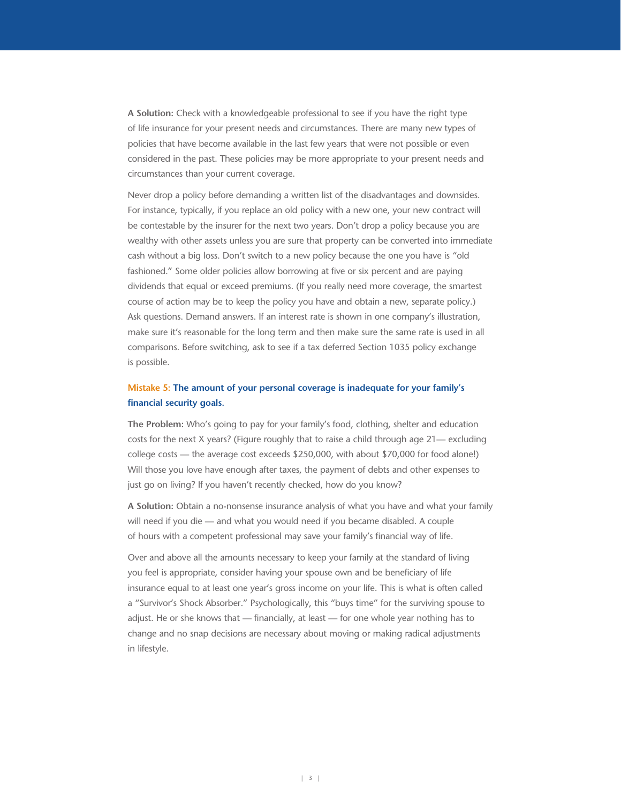**A Solution:** Check with a knowledgeable professional to see if you have the right type of life insurance for your present needs and circumstances. There are many new types of policies that have become available in the last few years that were not possible or even considered in the past. These policies may be more appropriate to your present needs and circumstances than your current coverage.

Never drop a policy before demanding a written list of the disadvantages and downsides. For instance, typically, if you replace an old policy with a new one, your new contract will be contestable by the insurer for the next two years. Don't drop a policy because you are wealthy with other assets unless you are sure that property can be converted into immediate cash without a big loss. Don't switch to a new policy because the one you have is "old fashioned." Some older policies allow borrowing at five or six percent and are paying dividends that equal or exceed premiums. (If you really need more coverage, the smartest course of action may be to keep the policy you have and obtain a new, separate policy.) Ask questions. Demand answers. If an interest rate is shown in one company's illustration, make sure it's reasonable for the long term and then make sure the same rate is used in all comparisons. Before switching, ask to see if a tax deferred Section 1035 policy exchange is possible.

# **Mistake 5: The amount of your personal coverage is inadequate for your family's financial security goals.**

**The Problem:** Who's going to pay for your family's food, clothing, shelter and education costs for the next X years? (Figure roughly that to raise a child through age 21— excluding college costs — the average cost exceeds \$250,000, with about \$70,000 for food alone!) Will those you love have enough after taxes, the payment of debts and other expenses to just go on living? If you haven't recently checked, how do you know?

**A Solution:** Obtain a no-nonsense insurance analysis of what you have and what your family will need if you die — and what you would need if you became disabled. A couple of hours with a competent professional may save your family's financial way of life.

Over and above all the amounts necessary to keep your family at the standard of living you feel is appropriate, consider having your spouse own and be beneficiary of life insurance equal to at least one year's gross income on your life. This is what is often called a "Survivor's Shock Absorber." Psychologically, this "buys time" for the surviving spouse to adjust. He or she knows that — financially, at least — for one whole year nothing has to change and no snap decisions are necessary about moving or making radical adjustments in lifestyle.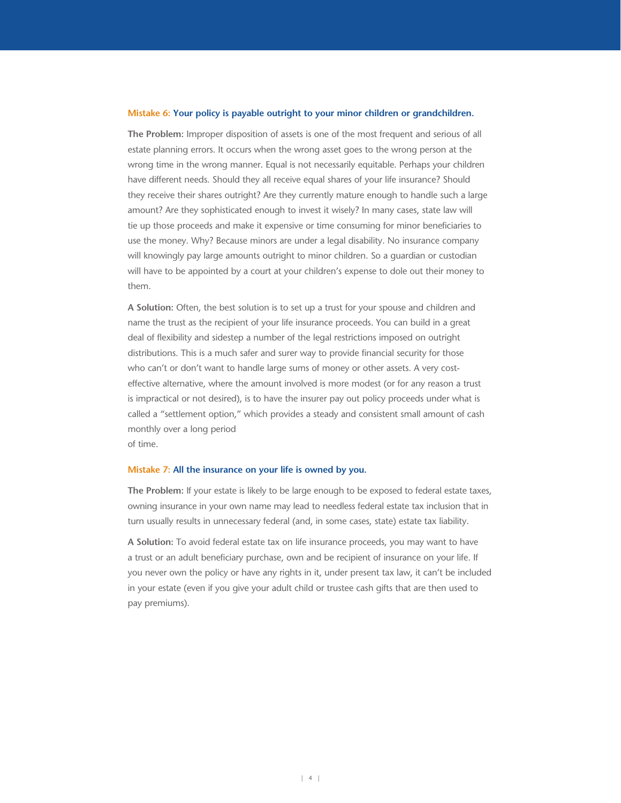#### **Mistake 6: Your policy is payable outright to your minor children or grandchildren.**

**The Problem:** Improper disposition of assets is one of the most frequent and serious of all estate planning errors. It occurs when the wrong asset goes to the wrong person at the wrong time in the wrong manner. Equal is not necessarily equitable. Perhaps your children have different needs. Should they all receive equal shares of your life insurance? Should they receive their shares outright? Are they currently mature enough to handle such a large amount? Are they sophisticated enough to invest it wisely? In many cases, state law will tie up those proceeds and make it expensive or time consuming for minor beneficiaries to use the money. Why? Because minors are under a legal disability. No insurance company will knowingly pay large amounts outright to minor children. So a guardian or custodian will have to be appointed by a court at your children's expense to dole out their money to them.

**A Solution:** Often, the best solution is to set up a trust for your spouse and children and name the trust as the recipient of your life insurance proceeds. You can build in a great deal of flexibility and sidestep a number of the legal restrictions imposed on outright distributions. This is a much safer and surer way to provide financial security for those who can't or don't want to handle large sums of money or other assets. A very costeffective alternative, where the amount involved is more modest (or for any reason a trust is impractical or not desired), is to have the insurer pay out policy proceeds under what is called a "settlement option," which provides a steady and consistent small amount of cash monthly over a long period

of time.

#### **Mistake 7: All the insurance on your life is owned by you.**

**The Problem:** If your estate is likely to be large enough to be exposed to federal estate taxes, owning insurance in your own name may lead to needless federal estate tax inclusion that in turn usually results in unnecessary federal (and, in some cases, state) estate tax liability.

**A Solution:** To avoid federal estate tax on life insurance proceeds, you may want to have a trust or an adult beneficiary purchase, own and be recipient of insurance on your life. If you never own the policy or have any rights in it, under present tax law, it can't be included in your estate (even if you give your adult child or trustee cash gifts that are then used to pay premiums).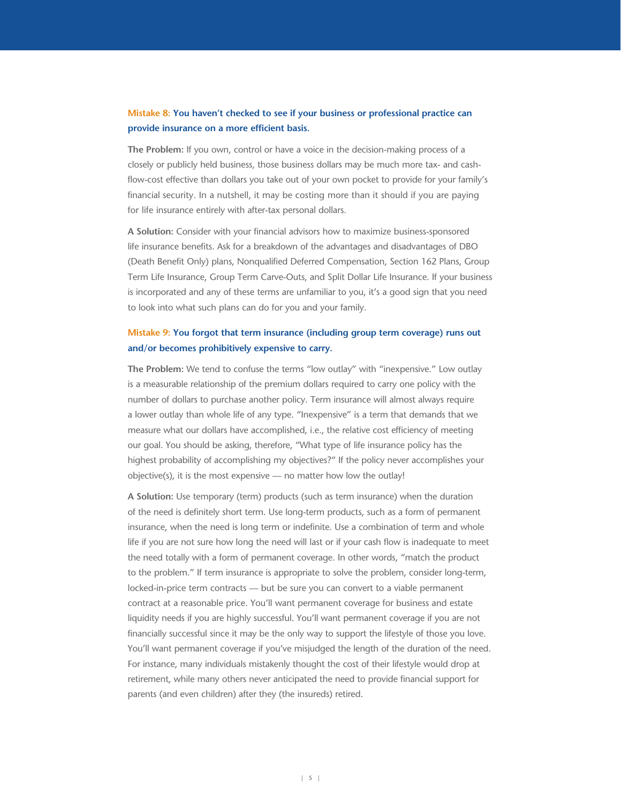# **Mistake 8: You haven't checked to see if your business or professional practice can provide insurance on a more efficient basis.**

**The Problem:** If you own, control or have a voice in the decision-making process of a closely or publicly held business, those business dollars may be much more tax- and cashflow-cost effective than dollars you take out of your own pocket to provide for your family's financial security. In a nutshell, it may be costing more than it should if you are paying for life insurance entirely with after-tax personal dollars.

**A Solution:** Consider with your financial advisors how to maximize business-sponsored life insurance benefits. Ask for a breakdown of the advantages and disadvantages of DBO (Death Benefit Only) plans, Nonqualified Deferred Compensation, Section 162 Plans, Group Term Life Insurance, Group Term Carve-Outs, and Split Dollar Life Insurance. If your business is incorporated and any of these terms are unfamiliar to you, it's a good sign that you need to look into what such plans can do for you and your family.

# **Mistake 9: You forgot that term insurance (including group term coverage) runs out and/or becomes prohibitively expensive to carry.**

**The Problem:** We tend to confuse the terms "low outlay" with "inexpensive." Low outlay is a measurable relationship of the premium dollars required to carry one policy with the number of dollars to purchase another policy. Term insurance will almost always require a lower outlay than whole life of any type. "Inexpensive" is a term that demands that we measure what our dollars have accomplished, i.e., the relative cost efficiency of meeting our goal. You should be asking, therefore, "What type of life insurance policy has the highest probability of accomplishing my objectives?" If the policy never accomplishes your objective(s), it is the most expensive — no matter how low the outlay!

**A Solution:** Use temporary (term) products (such as term insurance) when the duration of the need is definitely short term. Use long-term products, such as a form of permanent insurance, when the need is long term or indefinite. Use a combination of term and whole life if you are not sure how long the need will last or if your cash flow is inadequate to meet the need totally with a form of permanent coverage. In other words, "match the product to the problem." If term insurance is appropriate to solve the problem, consider long-term, locked-in-price term contracts — but be sure you can convert to a viable permanent contract at a reasonable price. You'll want permanent coverage for business and estate liquidity needs if you are highly successful. You'll want permanent coverage if you are not financially successful since it may be the only way to support the lifestyle of those you love. You'll want permanent coverage if you've misjudged the length of the duration of the need. For instance, many individuals mistakenly thought the cost of their lifestyle would drop at retirement, while many others never anticipated the need to provide financial support for parents (and even children) after they (the insureds) retired.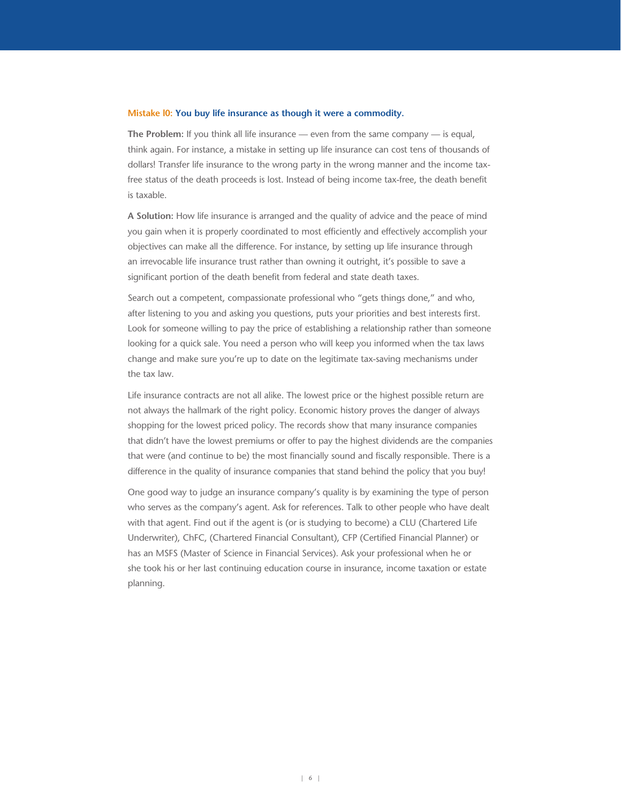#### **Mistake l0: You buy life insurance as though it were a commodity.**

**The Problem:** If you think all life insurance — even from the same company — is equal, think again. For instance, a mistake in setting up life insurance can cost tens of thousands of dollars! Transfer life insurance to the wrong party in the wrong manner and the income taxfree status of the death proceeds is lost. Instead of being income tax-free, the death benefit is taxable.

**A Solution:** How life insurance is arranged and the quality of advice and the peace of mind you gain when it is properly coordinated to most efficiently and effectively accomplish your objectives can make all the difference. For instance, by setting up life insurance through an irrevocable life insurance trust rather than owning it outright, it's possible to save a significant portion of the death benefit from federal and state death taxes.

Search out a competent, compassionate professional who "gets things done," and who, after listening to you and asking you questions, puts your priorities and best interests first. Look for someone willing to pay the price of establishing a relationship rather than someone looking for a quick sale. You need a person who will keep you informed when the tax laws change and make sure you're up to date on the legitimate tax-saving mechanisms under the tax law.

Life insurance contracts are not all alike. The lowest price or the highest possible return are not always the hallmark of the right policy. Economic history proves the danger of always shopping for the lowest priced policy. The records show that many insurance companies that didn't have the lowest premiums or offer to pay the highest dividends are the companies that were (and continue to be) the most financially sound and fiscally responsible. There is a difference in the quality of insurance companies that stand behind the policy that you buy!

One good way to judge an insurance company's quality is by examining the type of person who serves as the company's agent. Ask for references. Talk to other people who have dealt with that agent. Find out if the agent is (or is studying to become) a CLU (Chartered Life Underwriter), ChFC, (Chartered Financial Consultant), CFP (Certified Financial Planner) or has an MSFS (Master of Science in Financial Services). Ask your professional when he or she took his or her last continuing education course in insurance, income taxation or estate planning.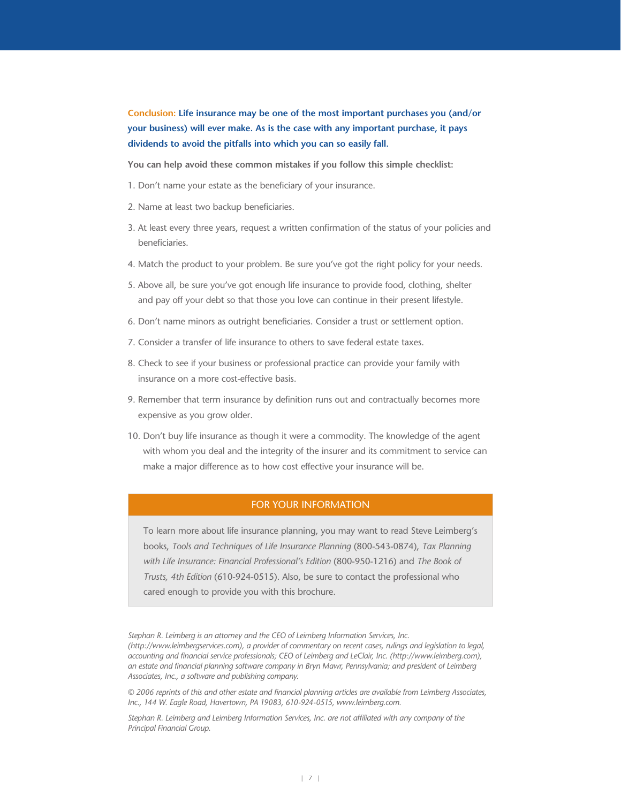**Conclusion: Life insurance may be one of the most important purchases you (and/or your business) will ever make. As is the case with any important purchase, it pays dividends to avoid the pitfalls into which you can so easily fall.**

**You can help avoid these common mistakes if you follow this simple checklist:**

- 1. Don't name your estate as the beneficiary of your insurance.
- 2. Name at least two backup beneficiaries.
- 3. At least every three years, request a written confirmation of the status of your policies and beneficiaries.
- 4. Match the product to your problem. Be sure you've got the right policy for your needs.
- 5. Above all, be sure you've got enough life insurance to provide food, clothing, shelter and pay off your debt so that those you love can continue in their present lifestyle.
- 6. Don't name minors as outright beneficiaries. Consider a trust or settlement option.
- 7. Consider a transfer of life insurance to others to save federal estate taxes.
- 8. Check to see if your business or professional practice can provide your family with insurance on a more cost-effective basis.
- 9. Remember that term insurance by definition runs out and contractually becomes more expensive as you grow older.
- 10. Don't buy life insurance as though it were a commodity. The knowledge of the agent with whom you deal and the integrity of the insurer and its commitment to service can make a major difference as to how cost effective your insurance will be.

## FOR YOUR INFORMATION

To learn more about life insurance planning, you may want to read Steve Leimberg's books, *Tools and Techniques of Life Insurance Planning* (800-543-0874), *Tax Planning with Life Insurance: Financial Professional's Edition* (800-950-1216) and *The Book of Trusts, 4th Edition* (610-924-0515). Also, be sure to contact the professional who cared enough to provide you with this brochure.

*Stephan R. Leimberg is an attorney and the CEO of Leimberg Information Services, Inc. (http://www.leimbergservices.com), a provider of commentary on recent cases, rulings and legislation to legal, accounting and financial service professionals; CEO of Leimberg and LeClair, Inc. (http://www.leimberg.com), an estate and financial planning software company in Bryn Mawr, Pennsylvania; and president of Leimberg Associates, Inc., a software and publishing company.* 

*© 2006 reprints of this and other estate and financial planning articles are available from Leimberg Associates, Inc., 144 W. Eagle Road, Havertown, PA 19083, 610-924-0515, www.leimberg.com.*

*Stephan R. Leimberg and Leimberg Information Services, Inc. are not affiliated with any company of the Principal Financial Group.*